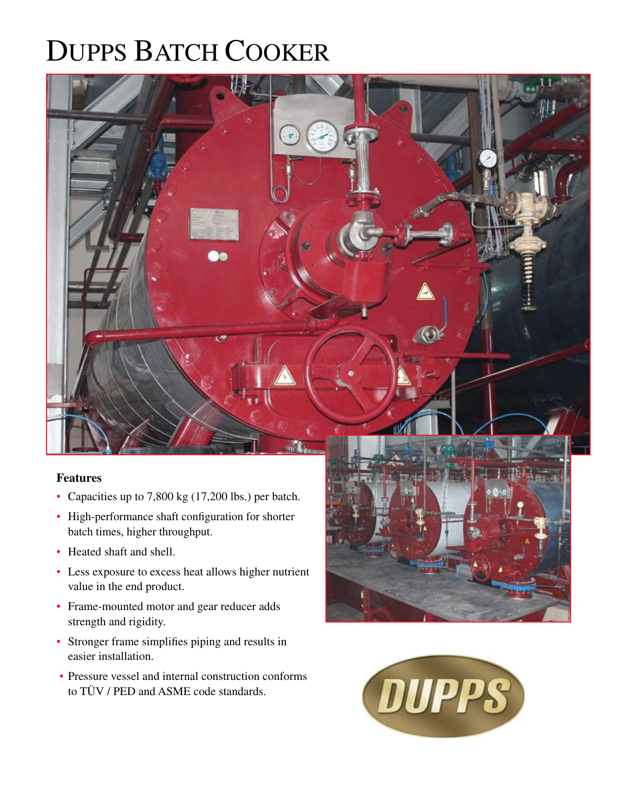## DUPPS BATCH COOKER



## **Features**

- Capacities up to 7,800 kg (17,200 lbs.) per batch.
- High-performance shaft configuration for shorter batch times, higher throughput.
- Heated shaft and shell.
- Less exposure to excess heat allows higher nutrient value in the end product.
- Frame-mounted motor and gear reducer adds strength and rigidity.
- Stronger frame simplifies piping and results in easier installation.
- Pressure vessel and internal construction conforms to TÜV / PED and ASME code standards.